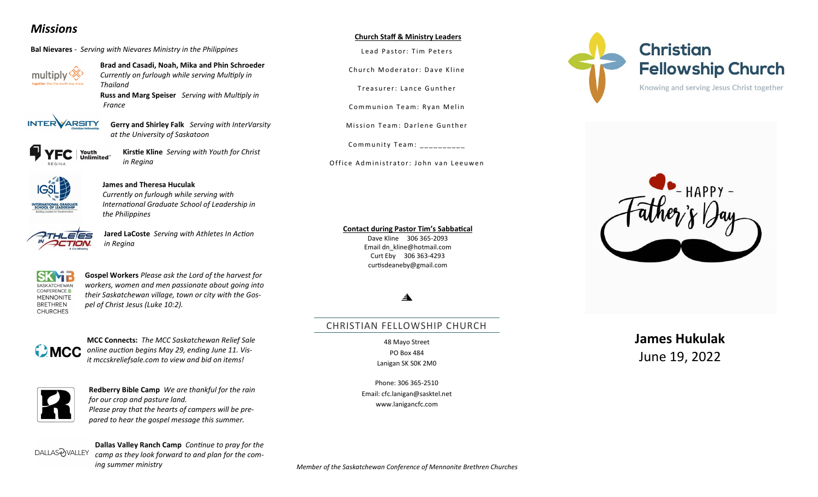## *Missions*

**Bal Nievares** *- Serving with Nievares Ministry in the Philippines*



**Brad and Casadi, Noah, Mika and Phin Schroeder** *Currently on furlough while serving Multiply in Thailand*

**Russ and Marg Speiser** *Serving with Multiply in France*



**Gerry and Shirley Falk** *Serving with InterVarsity at the University of Saskatoon*

Youth **Kirstie Kline** *Serving with Youth for Christ*  Unlimited *in Regina*



### **James and Theresa Huculak**

*Currently on furlough while serving with International Graduate School of Leadership in the Philippines* 



**Jared LaCoste** *Serving with Athletes In Action in Regina*



**Gospel Workers** *Please ask the Lord of the harvest for workers, women and men passionate about going into their Saskatchewan village, town or city with the Gospel of Christ Jesus (Luke 10:2).* 



**MCC Connects:** *The MCC Saskatchewan Relief Sale online auction begins May 29, ending June 11. Visit [mccskreliefsale.com](http://mccskreliefsale.com/) to view and bid on items!*



**Redberry Bible Camp** *We are thankful for the rain for our crop and pasture land. Please pray that the hearts of campers will be prepared to hear the gospel message this summer.*

DALLAS?yVALLEY

**Dallas Valley Ranch Camp** *Continue to pray for the camp as they look forward to and plan for the coming summer ministry*

#### **Church Staff & Ministry Leaders**

Lead Pastor: Tim Peters

Church Moderator: Dave Kline

Treasurer: Lance Gunther

Communion Team: Ryan Melin

Mission Team: Darlene Gunther

Community Team:  $\frac{1}{1}$  \_\_\_\_\_\_\_\_\_\_\_

Office Administrator: John van Leeuwen

#### **Contact during Pastor Tim's Sabbatical**

Dave Kline 306 365-2093 Email dn\_kline@hotmail.com Curt Eby 306 363-4293 curtisdeaneby@gmail.com

#### $\blacktriangle$

### CHRISTIAN FELLOWSHIP CHURCH

48 Mayo Street PO Box 484 Lanigan SK S0K 2M0

Phone: 306 365-2510 Email: cfc.lanigan@sasktel.net www.lanigancfc.com





# **James Hukulak** June 19, 2022

*Member of the Saskatchewan Conference of Mennonite Brethren Churches*